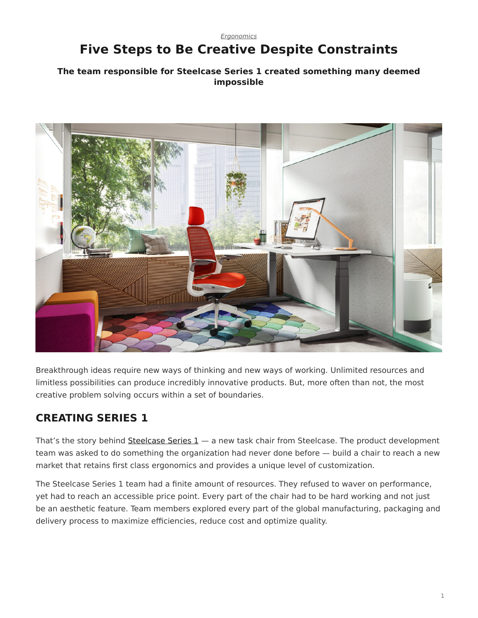#### <span id="page-0-0"></span>*[Ergonomics](https://www.steelcase.com/research/topics/ergonomics/)* **Five Steps to Be Creative Despite Constraints**

#### **The team responsible for Steelcase Series 1 created something many deemed impossible**



Breakthrough ideas require new ways of thinking and new ways of working. Unlimited resources and limitless possibilities can produce incredibly innovative products. But, more often than not, the most creative problem solving occurs within a set of boundaries.

# **CREATING SERIES 1**

That's the story behind [Steelcase](https://www.steelcase.com/products/office-chairs/steelcase-series-1/) [Series 1](https://www.steelcase.com/products/office-chairs/steelcase-series-1/) — a new task chair from Steelcase. The product development team was asked to do something the organization had never done before — build a chair to reach a new market that retains first class ergonomics and provides a unique level of customization.

The Steelcase Series 1 team had a finite amount of resources. They refused to waver on performance, yet had to reach an accessible price point. Every part of the chair had to be hard working and not just be an aesthetic feature. Team members explored every part of the global manufacturing, packaging and delivery process to maximize efficiencies, reduce cost and optimize quality.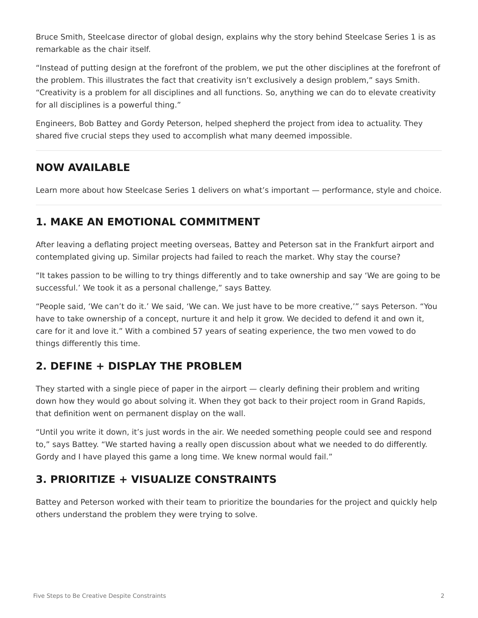Bruce Smith, Steelcase director of global design, explains why the story behind Steelcase Series 1 is as remarkable as the chair itself.

"Instead of putting design at the forefront of the problem, we put the other disciplines at the forefront of the problem. This illustrates the fact that creativity isn't exclusively a design problem," says Smith. "Creativity is a problem for all disciplines and all functions. So, anything we can do to elevate creativity for all disciplines is a powerful thing."

Engineers, Bob Battey and Gordy Peterson, helped shepherd the project from idea to actuality. They shared five crucial steps they used to accomplish what many deemed impossible.

#### **NOW AVAILABLE**

Learn more about how Steelcase Series 1 delivers on what's important — performance, style and choice.

# **1. MAKE AN EMOTIONAL COMMITMENT**

After leaving a deflating project meeting overseas, Battey and Peterson sat in the Frankfurt airport and contemplated giving up. Similar projects had failed to reach the market. Why stay the course?

"It takes passion to be willing to try things differently and to take ownership and say 'We are going to be successful.' We took it as a personal challenge," says Battey.

"People said, 'We can't do it.' We said, 'We can. We just have to be more creative,'" says Peterson. "You have to take ownership of a concept, nurture it and help it grow. We decided to defend it and own it, care for it and love it." With a combined 57 years of seating experience, the two men vowed to do things differently this time.

### **2. DEFINE + DISPLAY THE PROBLEM**

They started with a single piece of paper in the airport — clearly defining their problem and writing down how they would go about solving it. When they got back to their project room in Grand Rapids, that definition went on permanent display on the wall.

"Until you write it down, it's just words in the air. We needed something people could see and respond to," says Battey. "We started having a really open discussion about what we needed to do differently. Gordy and I have played this game a long time. We knew normal would fail."

# **3. PRIORITIZE + VISUALIZE CONSTRAINTS**

Battey and Peterson worked with their team to prioritize the boundaries for the project and quickly help others understand the problem they were trying to solve.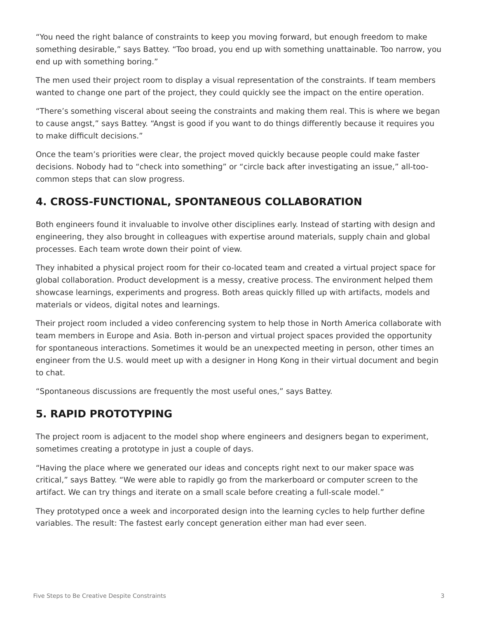"You need the right balance of constraints to keep you moving forward, but enough freedom to make something desirable," says Battey. "Too broad, you end up with something unattainable. Too narrow, you end up with something boring."

The men used their project room to display a visual representation of the constraints. If team members wanted to change one part of the project, they could quickly see the impact on the entire operation.

"There's something visceral about seeing the constraints and making them real. This is where we began to cause angst," says Battey. "Angst is good if you want to do things differently because it requires you to make difficult decisions."

Once the team's priorities were clear, the project moved quickly because people could make faster decisions. Nobody had to "check into something" or "circle back after investigating an issue," all-toocommon steps that can slow progress.

# **4. CROSS-FUNCTIONAL, SPONTANEOUS COLLABORATION**

Both engineers found it invaluable to involve other disciplines early. Instead of starting with design and engineering, they also brought in colleagues with expertise around materials, supply chain and global processes. Each team wrote down their point of view.

They inhabited a physical project room for their co-located team and created a virtual project space for global collaboration. Product development is a messy, creative process. The environment helped them showcase learnings, experiments and progress. Both areas quickly filled up with artifacts, models and materials or videos, digital notes and learnings.

Their project room included a video conferencing system to help those in North America collaborate with team members in Europe and Asia. Both in-person and virtual project spaces provided the opportunity for spontaneous interactions. Sometimes it would be an unexpected meeting in person, other times an engineer from the U.S. would meet up with a designer in Hong Kong in their virtual document and begin to chat.

"Spontaneous discussions are frequently the most useful ones," says Battey.

### **5. RAPID PROTOTYPING**

The project room is adjacent to the model shop where engineers and designers began to experiment, sometimes creating a prototype in just a couple of days.

"Having the place where we generated our ideas and concepts right next to our maker space was critical," says Battey. "We were able to rapidly go from the markerboard or computer screen to the artifact. We can try things and iterate on a small scale before creating a full-scale model."

They prototyped once a week and incorporated design into the learning cycles to help further define variables. The result: The fastest early concept generation either man had ever seen.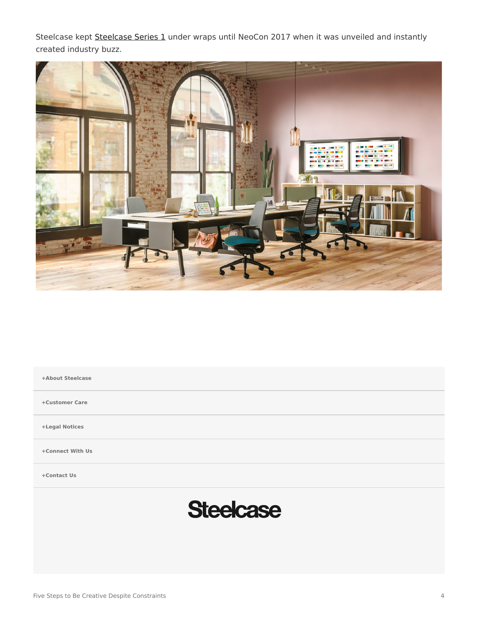[Steelcase](https://www.steelcase.com/products/office-chairs/steelcase-series-1/) kept Steelcase [Series 1](https://www.steelcase.com/products/office-chairs/steelcase-series-1/) under wraps until NeoCon 2017 when it was unveiled and instantly created industry buzz.



**[+About Steelcase](https://www.steelcase.com/discover/steelcase/our-company/)**

**[+Customer Care](#page-0-0)**

**[+Legal Notices](#page-0-0)**

**[Connect With Us](https://www.steelcase.com/find-us/social-media/) [+](https://www.steelcase.com/find-us/social-media/)**

**[Contact Us](https://www.steelcase.com/about/connect/contact-us/) [+](https://www.steelcase.com/about/connect/contact-us/)**

# **Steelcase**